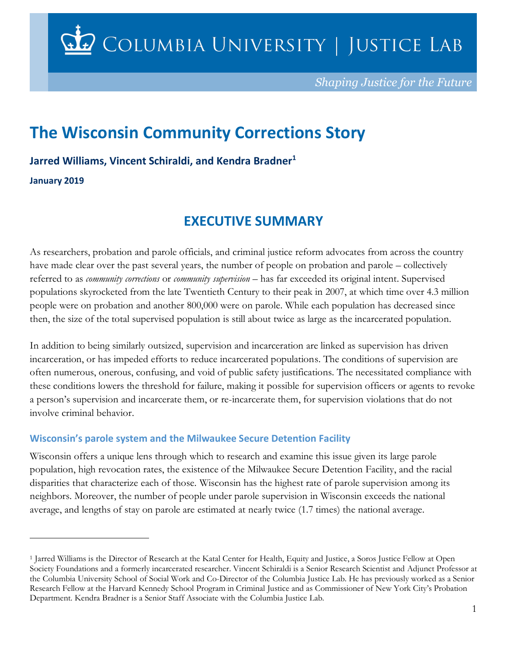$\mathbf{\Omega}$  Columbia University | Justice Lab

*Shaping Justice for the Future*

# **The Wisconsin Community Corrections Story**

**Jarred Williams, Vincent Schiraldi, and Kendra Bradner<sup>1</sup>**

**January 2019**

 $\overline{a}$ 

## **EXECUTIVE SUMMARY**

As researchers, probation and parole officials, and criminal justice reform advocates from across the country have made clear over the past several years, the number of people on probation and parole – collectively referred to as *community corrections* or *community supervision* – has far exceeded its original intent. Supervised populations skyrocketed from the late Twentieth Century to their peak in 2007, at which time over 4.3 million people were on probation and another 800,000 were on parole. While each population has decreased since then, the size of the total supervised population is still about twice as large as the incarcerated population.

In addition to being similarly outsized, supervision and incarceration are linked as supervision has driven incarceration, or has impeded efforts to reduce incarcerated populations. The conditions of supervision are often numerous, onerous, confusing, and void of public safety justifications. The necessitated compliance with these conditions lowers the threshold for failure, making it possible for supervision officers or agents to revoke a person's supervision and incarcerate them, or re-incarcerate them, for supervision violations that do not involve criminal behavior.

### **Wisconsin's parole system and the Milwaukee Secure Detention Facility**

Wisconsin offers a unique lens through which to research and examine this issue given its large parole population, high revocation rates, the existence of the Milwaukee Secure Detention Facility, and the racial disparities that characterize each of those. Wisconsin has the highest rate of parole supervision among its neighbors. Moreover, the number of people under parole supervision in Wisconsin exceeds the national average, and lengths of stay on parole are estimated at nearly twice (1.7 times) the national average.

<sup>1</sup> Jarred Williams is the Director of Research at the Katal Center for Health, Equity and Justice, a Soros Justice Fellow at Open Society Foundations and a formerly incarcerated researcher. Vincent Schiraldi is a Senior Research Scientist and Adjunct Professor at the Columbia University School of Social Work and Co-Director of the Columbia Justice Lab. He has previously worked as a Senior Research Fellow at the Harvard Kennedy School Program in Criminal Justice and as Commissioner of New York City's Probation Department. Kendra Bradner is a Senior Staff Associate with the Columbia Justice Lab.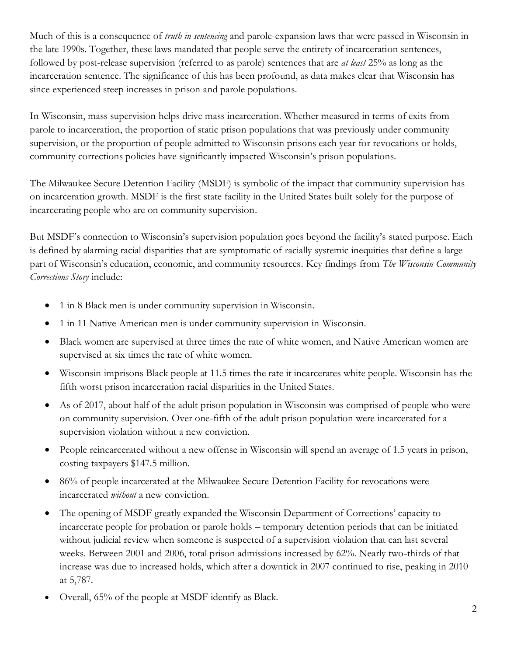Much of this is a consequence of *truth in sentencing* and parole-expansion laws that were passed in Wisconsin in the late 1990s. Together, these laws mandated that people serve the entirety of incarceration sentences, followed by post-release supervision (referred to as parole) sentences that are *at least* 25% as long as the incarceration sentence. The significance of this has been profound, as data makes clear that Wisconsin has since experienced steep increases in prison and parole populations.

In Wisconsin, mass supervision helps drive mass incarceration. Whether measured in terms of exits from parole to incarceration, the proportion of static prison populations that was previously under community supervision, or the proportion of people admitted to Wisconsin prisons each year for revocations or holds, community corrections policies have significantly impacted Wisconsin's prison populations.

The Milwaukee Secure Detention Facility (MSDF) is symbolic of the impact that community supervision has on incarceration growth. MSDF is the first state facility in the United States built solely for the purpose of incarcerating people who are on community supervision.

But MSDF's connection to Wisconsin's supervision population goes beyond the facility's stated purpose. Each is defined by alarming racial disparities that are symptomatic of racially systemic inequities that define a large part of Wisconsin's education, economic, and community resources. Key findings from *The Wisconsin Community Corrections Story* include:

- 1 in 8 Black men is under community supervision in Wisconsin.
- 1 in 11 Native American men is under community supervision in Wisconsin.
- Black women are supervised at three times the rate of white women, and Native American women are supervised at six times the rate of white women.
- Wisconsin imprisons Black people at 11.5 times the rate it incarcerates white people. Wisconsin has the fifth worst prison incarceration racial disparities in the United States.
- As of 2017, about half of the adult prison population in Wisconsin was comprised of people who were on community supervision. Over one-fifth of the adult prison population were incarcerated for a supervision violation without a new conviction.
- People reincarcerated without a new offense in Wisconsin will spend an average of 1.5 years in prison, costing taxpayers \$147.5 million.
- 86% of people incarcerated at the Milwaukee Secure Detention Facility for revocations were incarcerated *without* a new conviction.
- The opening of MSDF greatly expanded the Wisconsin Department of Corrections' capacity to incarcerate people for probation or parole holds – temporary detention periods that can be initiated without judicial review when someone is suspected of a supervision violation that can last several weeks. Between 2001 and 2006, total prison admissions increased by 62%. Nearly two-thirds of that increase was due to increased holds, which after a downtick in 2007 continued to rise, peaking in 2010 at 5,787.
- Overall, 65% of the people at MSDF identify as Black.